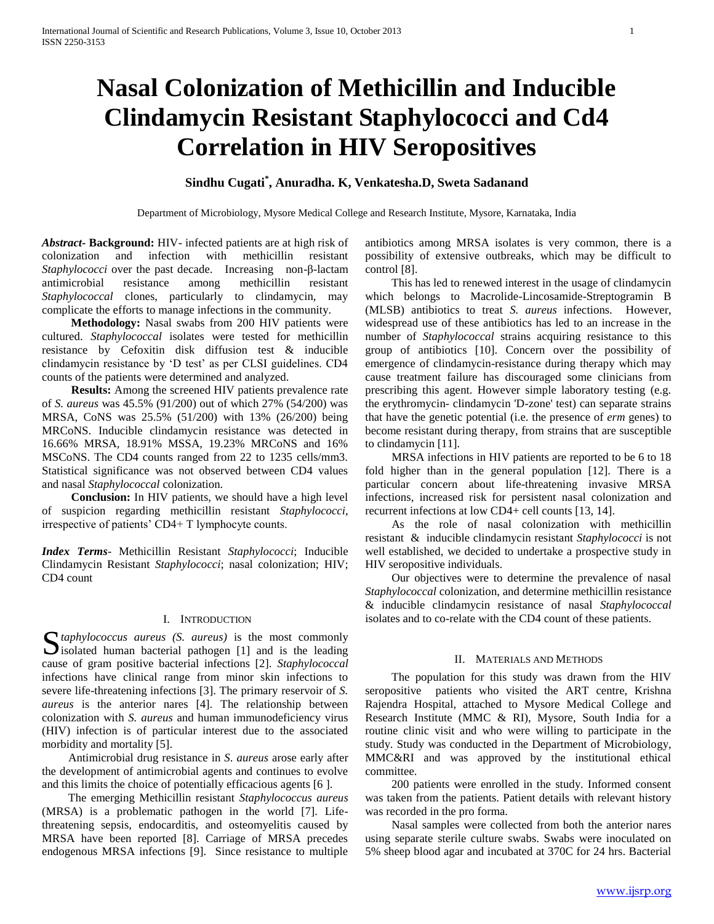# **Nasal Colonization of Methicillin and Inducible Clindamycin Resistant Staphylococci and Cd4 Correlation in HIV Seropositives**

# **Sindhu Cugati\* , Anuradha. K, Venkatesha.D, Sweta Sadanand**

Department of Microbiology, Mysore Medical College and Research Institute, Mysore, Karnataka, India

*Abstract***- Background:** HIV- infected patients are at high risk of colonization and infection with methicillin resistant *Staphylococci* over the past decade. Increasing non-β-lactam antimicrobial resistance among methicillin resistant *Staphylococcal* clones, particularly to clindamycin, may complicate the efforts to manage infections in the community.

 **Methodology:** Nasal swabs from 200 HIV patients were cultured. *Staphylococcal* isolates were tested for methicillin resistance by Cefoxitin disk diffusion test & inducible clindamycin resistance by 'D test' as per CLSI guidelines. CD4 counts of the patients were determined and analyzed.

 **Results:** Among the screened HIV patients prevalence rate of *S. aureus* was 45.5% (91/200) out of which 27% (54/200) was MRSA, CoNS was 25.5% (51/200) with 13% (26/200) being MRCoNS. Inducible clindamycin resistance was detected in 16.66% MRSA, 18.91% MSSA, 19.23% MRCoNS and 16% MSCoNS. The CD4 counts ranged from 22 to 1235 cells/mm3. Statistical significance was not observed between CD4 values and nasal *Staphylococcal* colonization.

 **Conclusion:** In HIV patients, we should have a high level of suspicion regarding methicillin resistant *Staphylococci*, irrespective of patients' CD4+ T lymphocyte counts.

*Index Terms*- Methicillin Resistant *Staphylococci*; Inducible Clindamycin Resistant *Staphylococci*; nasal colonization; HIV; CD4 count

## I. INTRODUCTION

S taphylococcus aureus (S. aureus) is the most commonly isolated human bacterial pathogen [1] and is the leading  $\sum$  isolated human bacterial pathogen [1] and is the leading cause of gram positive bacterial infections [2]. *Staphylococcal*  infections have clinical range from minor skin infections to severe life-threatening infections [3]. The primary reservoir of *S. aureus* is the anterior nares [4]. The relationship between colonization with *S. aureus* and human immunodeficiency virus (HIV) infection is of particular interest due to the associated morbidity and mortality [5].

 Antimicrobial drug resistance in *S*. *aureus* arose early after the development of antimicrobial agents and continues to evolve and this limits the choice of potentially efficacious agents [6 ].

 The emerging Methicillin resistant *Staphylococcus aureus*  (MRSA) is a problematic pathogen in the world [7]. Lifethreatening sepsis, endocarditis, and osteomyelitis caused by MRSA have been reported [8]. Carriage of MRSA precedes endogenous MRSA infections [9]. Since resistance to multiple

antibiotics among MRSA isolates is very common, there is a possibility of extensive outbreaks, which may be difficult to control [8].

 This has led to renewed interest in the usage of clindamycin which belongs to Macrolide-Lincosamide-Streptogramin B (MLSB) antibiotics to treat *S. aureus* infections. However, widespread use of these antibiotics has led to an increase in the number of *Staphylococcal* strains acquiring resistance to this group of antibiotics [10]. Concern over the possibility of emergence of clindamycin-resistance during therapy which may cause treatment failure has discouraged some clinicians from prescribing this agent. However simple laboratory testing (e.g. the erythromycin- clindamycin 'D-zone' test) can separate strains that have the genetic potential (i.e. the presence of *erm* genes) to become resistant during therapy, from strains that are susceptible to clindamycin [11].

 MRSA infections in HIV patients are reported to be 6 to 18 fold higher than in the general population [12]. There is a particular concern about life-threatening invasive MRSA infections, increased risk for persistent nasal colonization and recurrent infections at low CD4+ cell counts [13, 14].

 As the role of nasal colonization with methicillin resistant & inducible clindamycin resistant *Staphylococci* is not well established, we decided to undertake a prospective study in HIV seropositive individuals.

 Our objectives were to determine the prevalence of nasal *Staphylococcal* colonization, and determine methicillin resistance & inducible clindamycin resistance of nasal *Staphylococcal*  isolates and to co-relate with the CD4 count of these patients.

## II. MATERIALS AND METHODS

 The population for this study was drawn from the HIV seropositive patients who visited the ART centre, Krishna Rajendra Hospital, attached to Mysore Medical College and Research Institute (MMC & RI), Mysore, South India for a routine clinic visit and who were willing to participate in the study. Study was conducted in the Department of Microbiology, MMC&RI and was approved by the institutional ethical committee.

 200 patients were enrolled in the study. Informed consent was taken from the patients. Patient details with relevant history was recorded in the pro forma.

 Nasal samples were collected from both the anterior nares using separate sterile culture swabs. Swabs were inoculated on 5% sheep blood agar and incubated at 370C for 24 hrs. Bacterial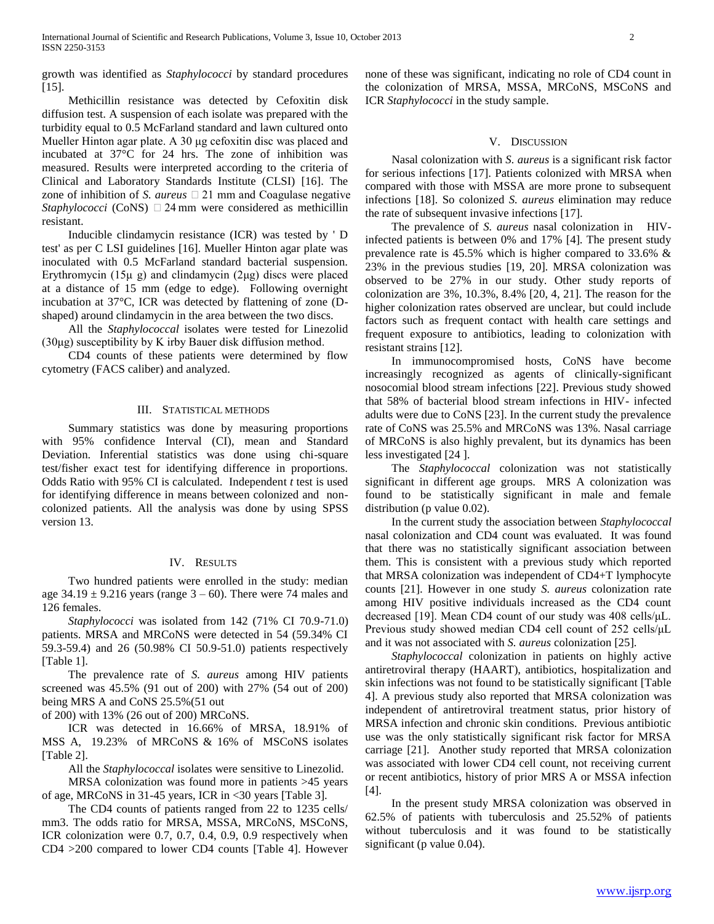growth was identified as *Staphylococci* by standard procedures  $[15]$ .

 Methicillin resistance was detected by Cefoxitin disk diffusion test. A suspension of each isolate was prepared with the turbidity equal to 0.5 McFarland standard and lawn cultured onto Mueller Hinton agar plate. A 30 μg cefoxitin disc was placed and incubated at 37°C for 24 hrs. The zone of inhibition was measured. Results were interpreted according to the criteria of Clinical and Laboratory Standards Institute (CLSI) [16]. The zone of inhibition of *S. aureus* 21 mm and Coagulase negative *Staphylococci* (CoNS)  $\Box$  24 mm were considered as methicillin resistant.

 Inducible clindamycin resistance (ICR) was tested by ' D test' as per C LSI guidelines [16]. Mueller Hinton agar plate was inoculated with 0.5 McFarland standard bacterial suspension. Erythromycin (15μ g) and clindamycin (2μg) discs were placed at a distance of 15 mm (edge to edge). Following overnight incubation at 37°C, ICR was detected by flattening of zone (Dshaped) around clindamycin in the area between the two discs.

 All the *Staphylococcal* isolates were tested for Linezolid  $(30\mu g)$  susceptibility by K irby Bauer disk diffusion method.

 CD4 counts of these patients were determined by flow cytometry (FACS caliber) and analyzed.

### III. STATISTICAL METHODS

 Summary statistics was done by measuring proportions with 95% confidence Interval (CI), mean and Standard Deviation. Inferential statistics was done using chi-square test/fisher exact test for identifying difference in proportions. Odds Ratio with 95% CI is calculated. Independent *t* test is used for identifying difference in means between colonized and noncolonized patients. All the analysis was done by using SPSS version 13.

#### IV. RESULTS

 Two hundred patients were enrolled in the study: median age  $34.19 \pm 9.216$  years (range  $3 - 60$ ). There were 74 males and 126 females.

 *Staphylococci* was isolated from 142 (71% CI 70.9-71.0) patients. MRSA and MRCoNS were detected in 54 (59.34% CI 59.3-59.4) and 26 (50.98% CI 50.9-51.0) patients respectively [Table 1].

 The prevalence rate of *S. aureus* among HIV patients screened was 45.5% (91 out of 200) with 27% (54 out of 200) being MRS A and CoNS 25.5%(51 out

of 200) with 13% (26 out of 200) MRCoNS.

 ICR was detected in 16.66% of MRSA, 18.91% of MSS A, 19.23% of MRCoNS & 16% of MSCoNS isolates [Table 2].

 All the *Staphylococcal* isolates were sensitive to Linezolid. MRSA colonization was found more in patients >45 years of age, MRCoNS in 31-45 years, ICR in <30 years [Table 3].

 The CD4 counts of patients ranged from 22 to 1235 cells/ mm3. The odds ratio for MRSA, MSSA, MRCoNS, MSCoNS, ICR colonization were 0.7, 0.7, 0.4, 0.9, 0.9 respectively when CD4 >200 compared to lower CD4 counts [Table 4]. However

none of these was significant, indicating no role of CD4 count in the colonization of MRSA, MSSA, MRCoNS, MSCoNS and ICR *Staphylococci* in the study sample.

#### V. DISCUSSION

 Nasal colonization with *S. aureus* is a significant risk factor for serious infections [17]. Patients colonized with MRSA when compared with those with MSSA are more prone to subsequent infections [18]. So colonized *S. aureus* elimination may reduce the rate of subsequent invasive infections [17].

 The prevalence of *S. aureus* nasal colonization in HIVinfected patients is between 0% and 17% [4]. The present study prevalence rate is 45.5% which is higher compared to 33.6% & 23% in the previous studies [19, 20]. MRSA colonization was observed to be 27% in our study. Other study reports of colonization are 3%, 10.3%, 8.4% [20, 4, 21]. The reason for the higher colonization rates observed are unclear, but could include factors such as frequent contact with health care settings and frequent exposure to antibiotics, leading to colonization with resistant strains [12].

 In immunocompromised hosts, CoNS have become increasingly recognized as agents of clinically-significant nosocomial blood stream infections [22]. Previous study showed that 58% of bacterial blood stream infections in HIV- infected adults were due to CoNS [23]. In the current study the prevalence rate of CoNS was 25.5% and MRCoNS was 13%. Nasal carriage of MRCoNS is also highly prevalent, but its dynamics has been less investigated [24 ].

 The *Staphylococcal* colonization was not statistically significant in different age groups. MRS A colonization was found to be statistically significant in male and female distribution (p value 0.02).

 In the current study the association between *Staphylococcal*  nasal colonization and CD4 count was evaluated. It was found that there was no statistically significant association between them. This is consistent with a previous study which reported that MRSA colonization was independent of CD4+T lymphocyte counts [21]. However in one study *S. aureus* colonization rate among HIV positive individuals increased as the CD4 count decreased [19]. Mean CD4 count of our study was 408 cells/μL. Previous study showed median CD4 cell count of 252 cells/μL and it was not associated with *S. aureus* colonization [25].

 *Staphylococcal* colonization in patients on highly active antiretroviral therapy (HAART), antibiotics, hospitalization and skin infections was not found to be statistically significant [Table 4]. A previous study also reported that MRSA colonization was independent of antiretroviral treatment status, prior history of MRSA infection and chronic skin conditions. Previous antibiotic use was the only statistically significant risk factor for MRSA carriage [21]. Another study reported that MRSA colonization was associated with lower CD4 cell count, not receiving current or recent antibiotics, history of prior MRS A or MSSA infection [4].

 In the present study MRSA colonization was observed in 62.5% of patients with tuberculosis and 25.52% of patients without tuberculosis and it was found to be statistically significant (p value 0.04).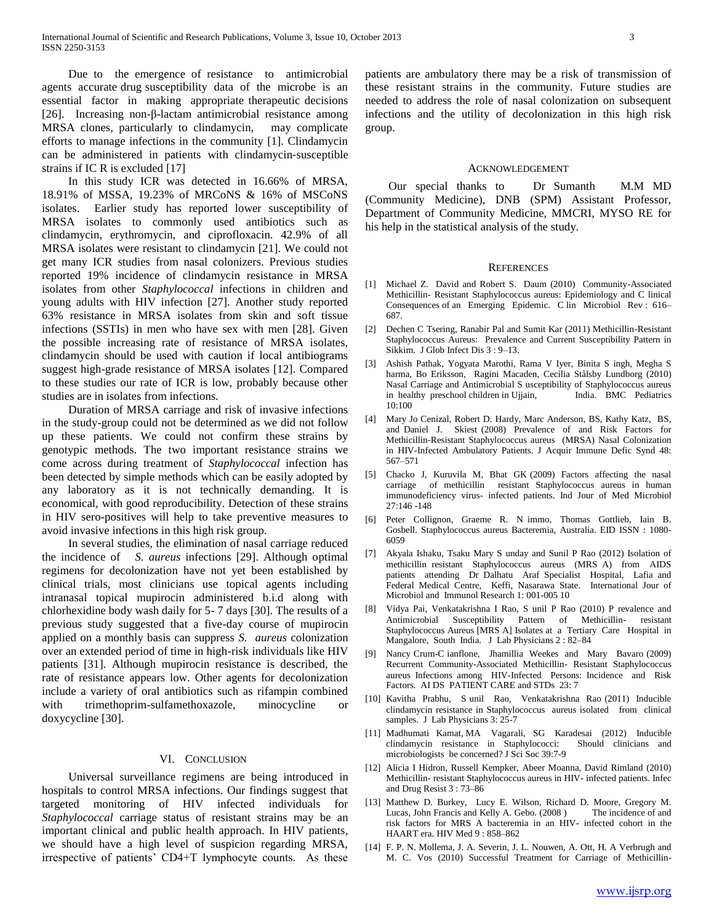Due to the emergence of resistance to antimicrobial agents accurate drug susceptibility data of the microbe is an essential factor in making appropriate therapeutic decisions [26]. Increasing non-β-lactam antimicrobial resistance among MRSA clones, particularly to clindamycin, may complicate efforts to manage infections in the community [1]. Clindamycin can be administered in patients with clindamycin‐susceptible strains if IC R is excluded [17]

 In this study ICR was detected in 16.66% of MRSA, 18.91% of MSSA, 19.23% of MRCoNS & 16% of MSCoNS isolates. Earlier study has reported lower susceptibility of MRSA isolates to commonly used antibiotics such as clindamycin, erythromycin, and ciprofloxacin. 42.9% of all MRSA isolates were resistant to clindamycin [21]. We could not get many ICR studies from nasal colonizers. Previous studies reported 19% incidence of clindamycin resistance in MRSA isolates from other *Staphylococcal* infections in children and young adults with HIV infection [27]. Another study reported 63% resistance in MRSA isolates from skin and soft tissue infections (SSTIs) in men who have sex with men [28]. Given the possible increasing rate of resistance of MRSA isolates, clindamycin should be used with caution if local antibiograms suggest high-grade resistance of MRSA isolates [12]. Compared to these studies our rate of ICR is low, probably because other studies are in isolates from infections.

 Duration of MRSA carriage and risk of invasive infections in the study-group could not be determined as we did not follow up these patients. We could not confirm these strains by genotypic methods. The two important resistance strains we come across during treatment of *Staphylococcal* infection has been detected by simple methods which can be easily adopted by any laboratory as it is not technically demanding. It is economical, with good reproducibility. Detection of these strains in HIV sero-positives will help to take preventive measures to avoid invasive infections in this high risk group.

 In several studies, the elimination of nasal carriage reduced the incidence of *S. aureus* infections [29]. Although optimal regimens for decolonization have not yet been established by clinical trials, most clinicians use topical agents including intranasal topical mupirocin administered b.i.d along with chlorhexidine body wash daily for 5- 7 days [30]. The results of a previous study suggested that a five-day course of mupirocin applied on a monthly basis can suppress *S. aureus* colonization over an extended period of time in high-risk individuals like HIV patients [31]. Although mupirocin resistance is described, the rate of resistance appears low. Other agents for decolonization include a variety of oral antibiotics such as rifampin combined with trimethoprim-sulfamethoxazole, minocycline or doxycycline [30].

#### VI. CONCLUSION

 Universal surveillance regimens are being introduced in hospitals to control MRSA infections. Our findings suggest that targeted monitoring of HIV infected individuals for *Staphylococcal* carriage status of resistant strains may be an important clinical and public health approach. In HIV patients, we should have a high level of suspicion regarding MRSA, irrespective of patients' CD4+T lymphocyte counts. As these patients are ambulatory there may be a risk of transmission of these resistant strains in the community. Future studies are needed to address the role of nasal colonization on subsequent infections and the utility of decolonization in this high risk group.

#### ACKNOWLEDGEMENT

 Our special thanks to Dr Sumanth M.M MD (Community Medicine), DNB (SPM) Assistant Professor, Department of Community Medicine, MMCRI, MYSO RE for his help in the statistical analysis of the study.

#### **REFERENCES**

- [1] Michael Z. David and Robert S. Daum (2010) Community-Associated Methicillin- Resistant Staphylococcus aureus: Epidemiology and C linical Consequences of an Emerging Epidemic. C lin Microbiol Rev : 616– 687.
- [2] Dechen C Tsering, Ranabir Pal and Sumit Kar (2011) Methicillin-Resistant Staphylococcus Aureus: Prevalence and Current Susceptibility Pattern in Sikkim. J Glob Infect Dis 3 : 9–13.
- [3] Ashish Pathak, Yogyata Marothi, Rama V Iyer, Binita S ingh, Megha S harma, Bo Eriksson, Ragini Macaden, Cecilia Stålsby Lundborg (2010) Nasal Carriage and Antimicrobial S usceptibility of Staphylococcus aureus in healthy preschool children in Ujjain, India. BMC Pediatrics 10:100
- [4] Mary Jo Cenizal, Robert D. Hardy, Marc Anderson, BS, Kathy Katz, BS, and Daniel J. Skiest (2008) Prevalence of and Risk Factors for Methicillin-Resistant Staphylococcus aureus (MRSA) Nasal Colonization in HIV-Infected Ambulatory Patients. J Acquir Immune Defic Synd 48: 567–571
- [5] Chacko J, Kuruvila M, Bhat GK (2009) Factors affecting the nasal carriage of methicillin resistant Staphylococcus aureus in human immunodeficiency virus- infected patients. Ind Jour of Med Microbiol 27:146 -148
- [6] Peter Collignon, Graeme R. N immo, Thomas Gottlieb, Iain B. Gosbell. Staphylococcus aureus Bacteremia, Australia. EID ISSN : 1080- 6059
- [7] Akyala Ishaku, Tsaku Mary S unday and Sunil P Rao (2012) Isolation of methicillin resistant Staphylococcus aureus (MRS A) from AIDS patients attending Dr Dalhatu Araf Specialist Hospital, Lafia and Federal Medical Centre, Keffi, Nasarawa State. International Jour of Microbiol and Immunol Research 1: 001-005 10
- [8] Vidya Pai, Venkatakrishna I Rao, S unil P Rao (2010) P revalence and Antimicrobial Susceptibility Pattern of Methicillin- resistant Staphylococcus Aureus [MRS A] Isolates at a Tertiary Care Hospital in Mangalore, South India. J Lab Physicians 2 : 82–84
- [9] Nancy Crum-C ianflone, Jhamillia Weekes and Mary Bavaro (2009) Recurrent Community-Associated Methicillin- Resistant Staphylococcus aureus Infections among HIV-Infected Persons: Incidence and Risk Factors. AI DS PATIENT CARE and STDs 23: 7
- [10] Kavitha Prabhu, S unil Rao, Venkatakrishna Rao (2011) Inducible clindamycin resistance in Staphylococcus aureus isolated from clinical samples. J Lab Physicians 3: 25-7
- [11] Madhumati Kamat, MA Vagarali, SG Karadesai (2012) Inducible clindamycin resistance in Staphylococci: Should clinicians and microbiologists be concerned? J Sci Soc 39:7-9
- [12] Alicia I Hidron, Russell Kempker, Abeer Moanna, David Rimland (2010) Methicillin- resistant Staphylococcus aureus in HIV- infected patients. Infec and Drug Resist 3 : 73–86
- [13] Matthew D. Burkey, Lucy E. Wilson, Richard D. Moore, Gregory M. Lucas, John Francis and Kelly A. Gebo. (2008) The incidence of and risk factors for MRS A bacteremia in an HIV- infected cohort in the HAART era. HIV Med 9 : 858–862
- [14] F. P. N. Mollema, J. A. Severin, J. L. Nouwen, A. Ott, H. A Verbrugh and M. C. Vos (2010) Successful Treatment for Carriage of Methicillin-